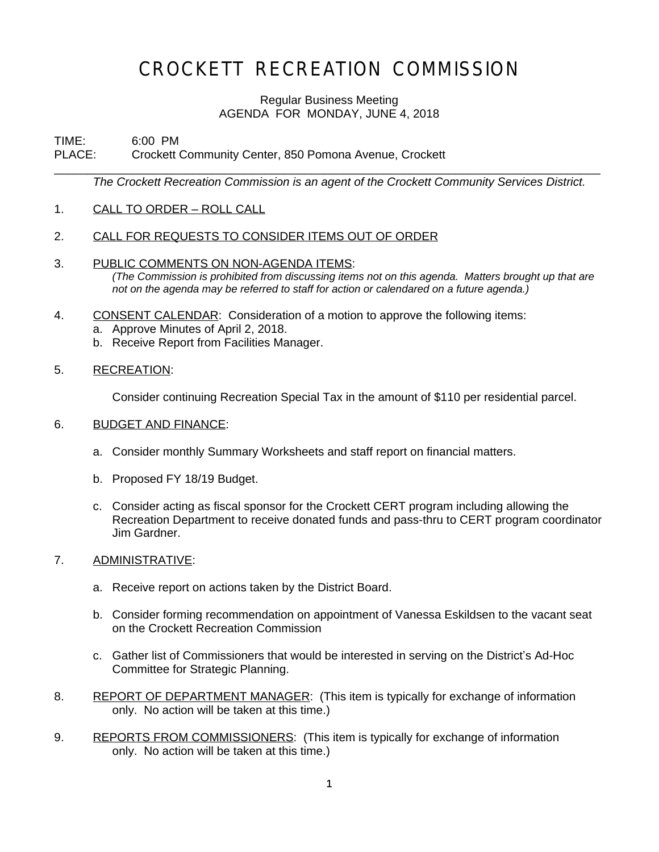## CROCKETT RECREATION COMMISSION

### Regular Business Meeting AGENDA FOR MONDAY, JUNE 4, 2018

\_\_\_\_\_\_\_\_\_\_\_\_\_\_\_\_\_\_\_\_\_\_\_\_\_\_\_\_\_\_\_\_\_\_\_\_\_\_\_\_\_\_\_\_\_\_\_\_\_\_\_\_\_\_\_\_\_\_\_\_\_\_\_\_\_\_\_\_\_\_\_\_\_\_\_\_\_\_\_\_\_\_\_

# TIME: 6:00 PM<br>PLACE: Crockett (

Crockett Community Center, 850 Pomona Avenue, Crockett

*The Crockett Recreation Commission is an agent of the Crockett Community Services District.*

- 1. CALL TO ORDER ROLL CALL
- 2. CALL FOR REQUESTS TO CONSIDER ITEMS OUT OF ORDER
- 3. PUBLIC COMMENTS ON NON-AGENDA ITEMS: *(The Commission is prohibited from discussing items not on this agenda. Matters brought up that are not on the agenda may be referred to staff for action or calendared on a future agenda.)*
- 4. CONSENT CALENDAR: Consideration of a motion to approve the following items:
	- a. Approve Minutes of April 2, 2018.
	- b. Receive Report from Facilities Manager.
- 5. RECREATION:

Consider continuing Recreation Special Tax in the amount of \$110 per residential parcel.

#### 6. BUDGET AND FINANCE:

- a. Consider monthly Summary Worksheets and staff report on financial matters.
- b. Proposed FY 18/19 Budget.
- c. Consider acting as fiscal sponsor for the Crockett CERT program including allowing the Recreation Department to receive donated funds and pass-thru to CERT program coordinator Jim Gardner.

#### 7. ADMINISTRATIVE:

- a. Receive report on actions taken by the District Board.
- b. Consider forming recommendation on appointment of Vanessa Eskildsen to the vacant seat on the Crockett Recreation Commission
- c. Gather list of Commissioners that would be interested in serving on the District's Ad-Hoc Committee for Strategic Planning.
- 8. REPORT OF DEPARTMENT MANAGER: (This item is typically for exchange of information only. No action will be taken at this time.)
- 9. REPORTS FROM COMMISSIONERS: (This item is typically for exchange of information only. No action will be taken at this time.)